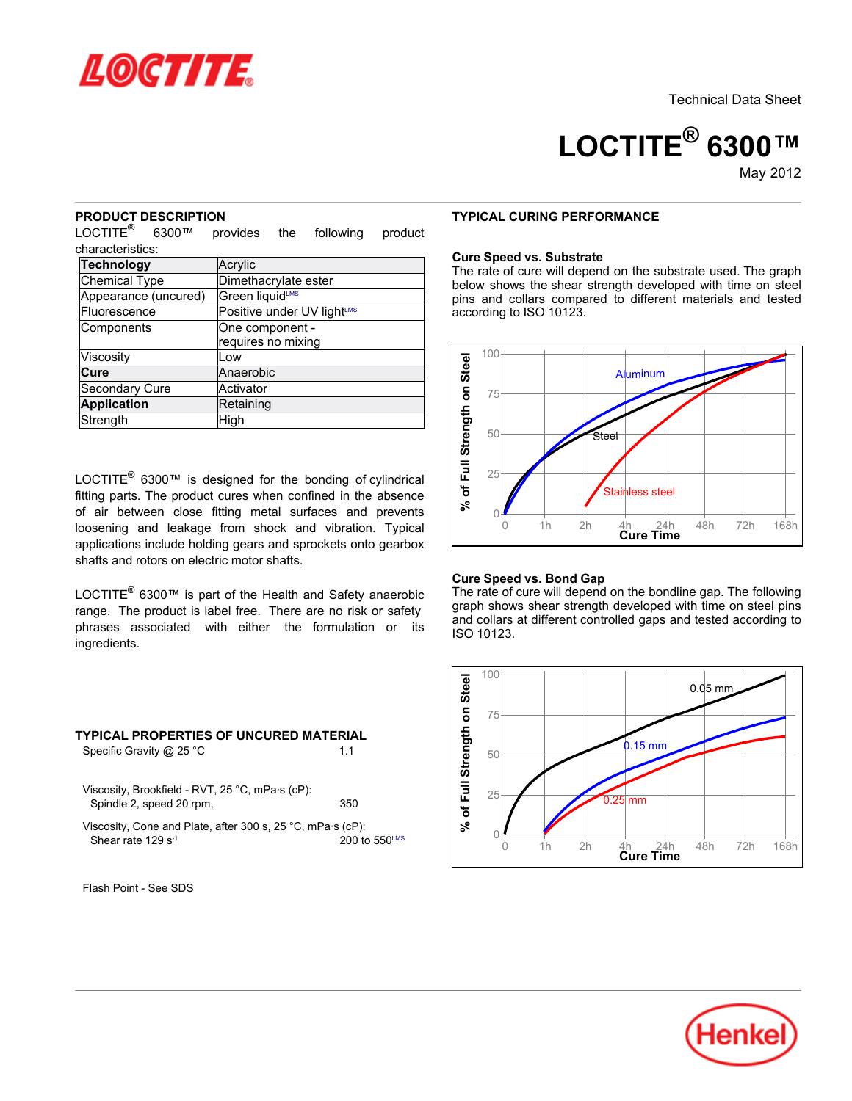

# **LOCTITE® 6300™**

May-2012

#### **PRODUCT DESCRIPTION**

LOCTITE<sup>®</sup> 6300™ provides the following product characteristics:

| <b>Technology</b>    | Acrylic                                |  |  |  |
|----------------------|----------------------------------------|--|--|--|
| Chemical Type        | Dimethacrylate ester                   |  |  |  |
| Appearance (uncured) | Green liquid <sup>LMS</sup>            |  |  |  |
| Fluorescence         | Positive under UV light <sup>LMS</sup> |  |  |  |
| Components           | One component -                        |  |  |  |
|                      | requires no mixing                     |  |  |  |
| Viscosity            | Low                                    |  |  |  |
| Cure                 | Anaerobic                              |  |  |  |
| Secondary Cure       | Activator                              |  |  |  |
| <b>Application</b>   | Retaining                              |  |  |  |
| Strength             | High                                   |  |  |  |

LOCTITE $^{\circledR}$  6300™ is designed for the bonding of cylindrical fitting parts. The product cures when confined in the absence of air between close fitting metal surfaces and prevents loosening and leakage from shock and vibration. Typical applications include holding gears and sprockets onto gearbox shafts and rotors on electric motor shafts.

LOCTITE® 6300™ is part of the Health and Safety anaerobic range. The product is label free. There are no risk or safety phrases associated with either the formulation or its ingredients.

| TYPICAL PROPERTIES OF UNCURED MATERIAL<br>Specific Gravity @ 25 °C                           | 11               |
|----------------------------------------------------------------------------------------------|------------------|
| Viscosity, Brookfield - RVT, 25 °C, mPa·s (cP):<br>Spindle 2, speed 20 rpm,                  | 350              |
| Viscosity, Cone and Plate, after 300 s, 25 °C, mPa s (cP):<br>Shear rate 129 s <sup>-1</sup> | 200 to 550 $LMS$ |

Flash Point - See SDS

# **TYPICAL CURING PERFORMANCE**

#### **Cure Speed vs. Substrate**

The rate of cure will depend on the substrate used. The graph below shows the shear strength developed with time on steel pins and collars compared to different materials and tested according to ISO 10123.



#### **Cure Speed vs. Bond Gap**

The rate of cure will depend on the bondline gap. The following graph shows shear strength developed with time on steel pins and collars at different controlled gaps and tested according to ISO 10123.



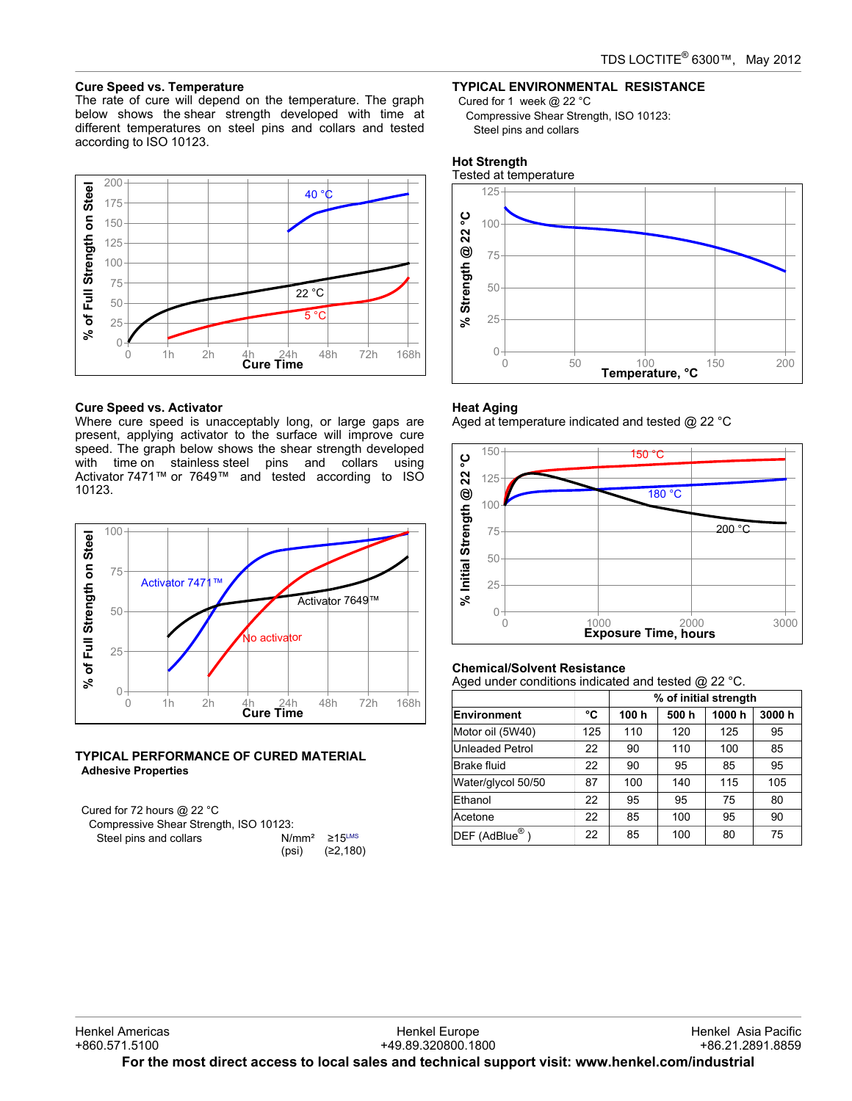# **Cure Speed vs. Temperature**

The rate of cure will depend on the temperature. The graph below shows the shear strength developed with time at different temperatures on steel pins and collars and tested according to ISO 10123.



# **Cure Speed vs. Activator**

Where cure speed is unacceptably long, or large gaps are present, applying activator to the surface will improve cure speed. The graph below shows the shear strength developed with time on stainless steel pins and collars using Activator 7471™ or 7649™ and tested according to ISO 10123.



# **TYPICAL PERFORMANCE OF CURED MATERIAL Adhesive Properties**

| Cured for 72 hours $@$ 22 °C           |                                |
|----------------------------------------|--------------------------------|
| Compressive Shear Strength, ISO 10123: |                                |
| Steel pins and collars                 | $N/mm^2 \ge 15$ <sup>LMS</sup> |
|                                        | (psi) $(22, 180)$              |

#### **TYPICAL ENVIRONMENTAL RESISTANCE**

Cured for 1 week @ 22 °C Compressive Shear Strength, ISO 10123: Steel pins and collars

#### **Hot Strength**



# **Heat Aging**

Aged at temperature indicated and tested @ 22 °C



# **Chemical/Solvent Resistance**

Aged under conditions indicated and tested  $\omega$  22 °C.

|                        |     | % of initial strength |       |       |       |
|------------------------|-----|-----------------------|-------|-------|-------|
| Environment            | °C  | 100 h                 | 500 h | 1000h | 3000h |
| Motor oil (5W40)       | 125 | 110                   | 120   | 125   | 95    |
| <b>Unleaded Petrol</b> | 22  | 90                    | 110   | 100   | 85    |
| <b>Brake fluid</b>     | 22  | 90                    | 95    | 85    | 95    |
| Water/glycol 50/50     | 87  | 100                   | 140   | 115   | 105   |
| Ethanol                | 22  | 95                    | 95    | 75    | 80    |
| Acetone                | 22  | 85                    | 100   | 95    | 90    |
| $DEF$ (AdBlue®)        | 22  | 85                    | 100   | 80    | 75    |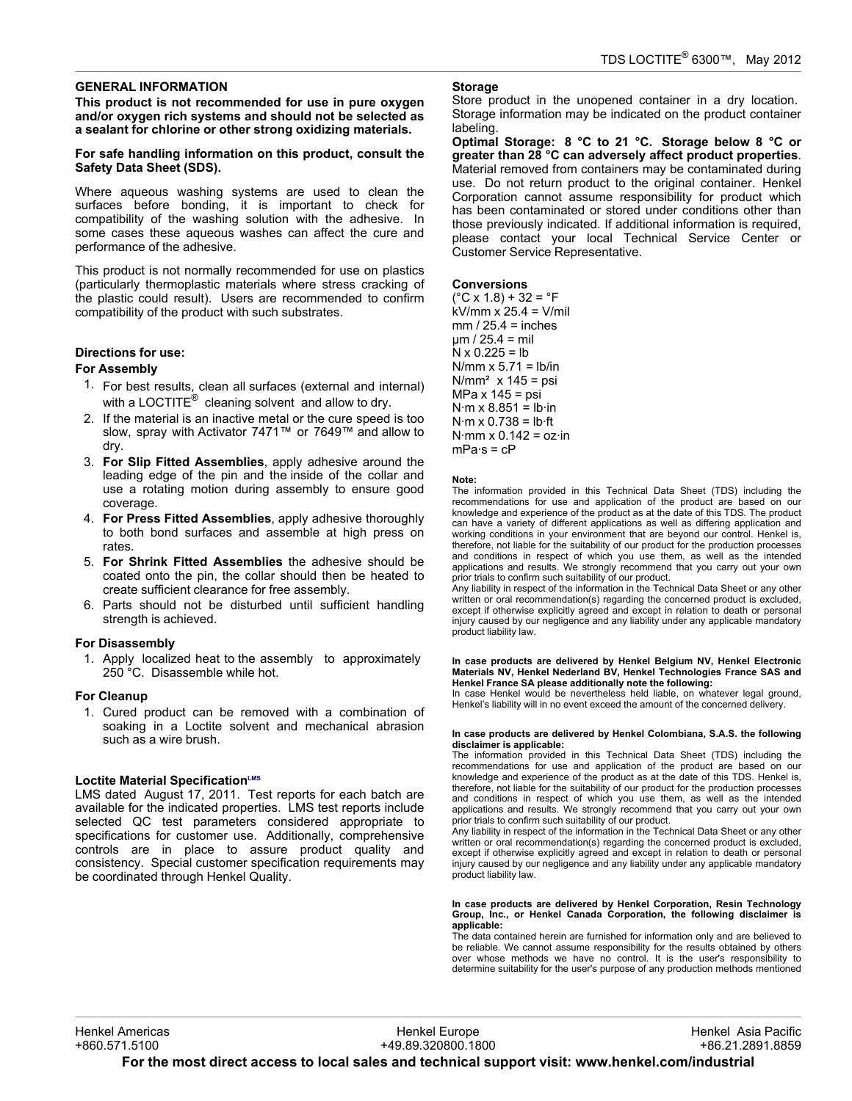# **GENERAL INFORMATION**

**This product is not recommended for use in pure oxygen and/or oxygen rich systems and should not be selected as a sealant for chlorine or other strong oxidizing materials.**

#### **For safe handling information on this product, consult the Safety Data Sheet (SDS).**

Where aqueous washing systems are used to clean the surfaces before bonding, it is important to check for compatibility of the washing solution with the adhesive. In some cases these aqueous washes can affect the cure and performance of the adhesive.

This product is not normally recommended for use on plastics (particularly thermoplastic materials where stress cracking of the plastic could result). Users are recommended to confirm compatibility of the product with such substrates.

#### **Directions for use:**

#### **For Assembly**

- 1. For best results, clean all surfaces (external and internal) with a LOCTITE $^{\circledR}$  cleaning solvent and allow to dry.
- 2. If the material is an inactive metal or the cure speed is too slow, spray with Activator 7471™ or 7649™ and allow to dry.
- 3. **For Slip Fitted Assemblies**, apply adhesive around the leading edge of the pin and the inside of the collar and use a rotating motion during assembly to ensure good coverage.
- 4. **For Press Fitted Assemblies**, apply adhesive thoroughly to both bond surfaces and assemble at high press on rates.
- 5. **For Shrink Fitted Assemblies** the adhesive should be coated onto the pin, the collar should then be heated to create sufficient clearance for free assembly.
- 6. Parts should not be disturbed until sufficient handling strength is achieved.

#### **For Disassembly**

1. Apply localized heat to the assembly to approximately 250 °C. Disassemble while hot.

#### **For Cleanup**

1. Cured product can be removed with a combination of soaking in a Loctite solvent and mechanical abrasion such as a wire brush.

#### **Loctite Material SpecificationLMS**

LMS dated August 17, 2011. Test reports for each batch are available for the indicated properties. LMS test reports include selected QC test parameters considered appropriate to specifications for customer use. Additionally, comprehensive controls are in place to assure product quality and consistency. Special customer specification requirements may be coordinated through Henkel Quality.

#### **Storage**

Store product in the unopened container in a dry location. Storage information may be indicated on the product container labeling.

**Optimal Storage: 8 °C to 21 °C. Storage below 8 °C or greater than 28 °C can adversely affect product properties**. Material removed from containers may be contaminated during use. Do not return product to the original container. Henkel Corporation cannot assume responsibility for product which has been contaminated or stored under conditions other than those previously indicated. If additional information is required, please contact your local Technical Service Center or Customer Service Representative.

#### **Conversions**

 $(^{\circ}C \times 1.8) + 32 = ^{\circ}F$ kV/mm x 25.4 = V/mil  $mm / 25.4 = inches$ µm / 25.4 = mil  $N \times 0.225 = lb$  $N/mm \times 5.71 = lb/in$  $N/mm<sup>2</sup>$  x 145 = psi MPa x 145 = psi  $N·m \times 8.851 = lb·in$  $N·m \times 0.738 = lb·ft$  $N·mm \times 0.142 = oz·in$  $mPa·s = cP$ 

#### **Note:**

The information provided in this Technical Data Sheet (TDS) including the recommendations for use and application of the product are based on our knowledge and experience of the product as at the date of this TDS. The product can have a variety of different applications as well as differing application and working conditions in your environment that are beyond our control. Henkel is, therefore, not liable for the suitability of our product for the production processes and conditions in respect of which you use them, as well as the intended applications and results. We strongly recommend that you carry out your own prior trials to confirm such suitability of our product.

Any liability in respect of the information in the Technical Data Sheet or any other written or oral recommendation(s) regarding the concerned product is excluded, except if otherwise explicitly agreed and except in relation to death or personal injury caused by our negligence and any liability under any applicable mandatory product liability law.

#### **In case products are delivered by Henkel Belgium NV, Henkel Electronic Materials NV, Henkel Nederland BV, Henkel Technologies France SAS and Henkel France SA please additionally note the following:**

In case Henkel would be nevertheless held liable, on whatever legal ground, Henkel's liability will in no event exceed the amount of the concerned delivery.

#### **In case products are delivered by Henkel Colombiana, S.A.S. the following disclaimer is applicable:**

The information provided in this Technical Data Sheet (TDS) including the recommendations for use and application of the product are based on our knowledge and experience of the product as at the date of this TDS. Henkel is, therefore, not liable for the suitability of our product for the production processes and conditions in respect of which you use them, as well as the intended applications and results. We strongly recommend that you carry out your own prior trials to confirm such suitability of our product.

Any liability in respect of the information in the Technical Data Sheet or any other written or oral recommendation(s) regarding the concerned product is excluded, except if otherwise explicitly agreed and except in relation to death or personal injury caused by our negligence and any liability under any applicable mandatory product liability law.

#### **In case products are delivered by Henkel Corporation, Resin Technology Group, Inc., or Henkel Canada Corporation, the following disclaimer is applicable:**

The data contained herein are furnished for information only and are believed to be reliable. We cannot assume responsibility for the results obtained by others over whose methods we have no control. It is the user's responsibility to determine suitability for the user's purpose of any production methods mentioned